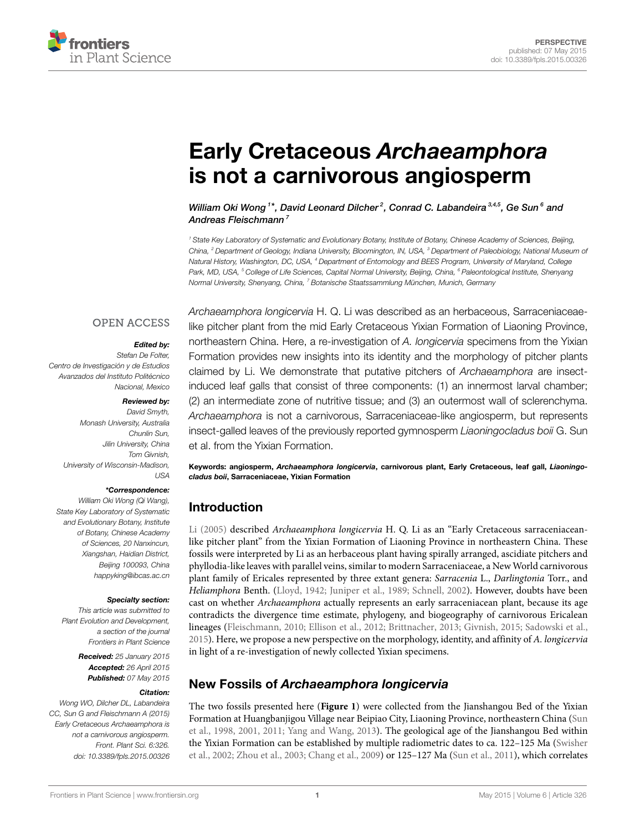

# **[Early Cretaceous](http://journal.frontiersin.org/article/10.3389/fpls.2015.00326/abstract)** *Archaeamphora* **[is not a carnivorous angiosperm](http://journal.frontiersin.org/article/10.3389/fpls.2015.00326/abstract)**

*[William Oki Wong](http://community.frontiersin.org/people/u/206356) <sup>1</sup> \*, [David Leonard Dilcher](http://community.frontiersin.org/people/u/95192) <sup>2</sup> , [Conrad C. Labandeira](http://community.frontiersin.org/people/u/98273) 3,4,5, [Ge Sun](http://community.frontiersin.org/people/u/206381) <sup>6</sup> and [Andreas Fleischmann](http://community.frontiersin.org/people/u/233459) <sup>7</sup>*

*<sup>1</sup> State Key Laboratory of Systematic and Evolutionary Botany, Institute of Botany, Chinese Academy of Sciences, Beijing, China, <sup>2</sup> Department of Geology, Indiana University, Bloomington, IN, USA, <sup>3</sup> Department of Paleobiology, National Museum of Natural History, Washington, DC, USA, <sup>4</sup> Department of Entomology and BEES Program, University of Maryland, College Park, MD, USA, <sup>5</sup> College of Life Sciences, Capital Normal University, Beijing, China, <sup>6</sup> Paleontological Institute, Shenyang Normal University, Shenyang, China, <sup>7</sup> Botanische Staatssammlung München, Munich, Germany*

### **OPEN ACCESS**

### *Edited by:*

*Stefan De Folter, Centro de Investigación y de Estudios Avanzados del Instituto Politécnico Nacional, Mexico*

#### *Reviewed by:*

*David Smyth, Monash University, Australia Chunlin Sun, Jilin University, China Tom Givnish, University of Wisconsin-Madison, USA*

#### *\*Correspondence:*

*William Oki Wong (Qi Wang), State Key Laboratory of Systematic and Evolutionary Botany, Institute of Botany, Chinese Academy of Sciences, 20 Nanxincun, Xiangshan, Haidian District, Beijing 100093, China [happyking@ibcas.ac.cn](mailto:happyking@ibcas.ac.cn)*

#### *Specialty section:*

*This article was submitted to Plant Evolution and Development, a section of the journal Frontiers in Plant Science*

> *Received: 25 January 2015 Accepted: 26 April 2015 Published: 07 May 2015*

#### *Citation:*

*Wong WO, Dilcher DL, Labandeira CC, Sun G and Fleischmann A (2015) Early Cretaceous Archaeamphora is not a carnivorous angiosperm. Front. Plant Sci. 6:326. [doi: 10.3389/fpls.2015.00326](http://dx.doi.org/10.3389/fpls.2015.00326)* *Archaeamphora longicervia* H. Q. Li was described as an herbaceous, Sarraceniaceaelike pitcher plant from the mid Early Cretaceous Yixian Formation of Liaoning Province, northeastern China. Here, a re-investigation of *A. longicervia* specimens from the Yixian Formation provides new insights into its identity and the morphology of pitcher plants claimed by Li. We demonstrate that putative pitchers of *Archaeamphora* are insectinduced leaf galls that consist of three components: (1) an innermost larval chamber; (2) an intermediate zone of nutritive tissue; and (3) an outermost wall of sclerenchyma. *Archaeamphora* is not a carnivorous, Sarraceniaceae-like angiosperm, but represents insect-galled leaves of the previously reported gymnosperm *Liaoningocladus boii* G. Sun et al. from the Yixian Formation.

**Keywords: angiosperm,** *Archaeamphora longicervia***, carnivorous plant, Early Cretaceous, leaf gall,** *Liaoningocladus boii***, Sarraceniaceae, Yixian Formation**

# **Introduction**

[Li \(2005](#page-3-0)) described *Archaeamphora longicervia* H. Q. Li as an "Early Cretaceous sarraceniaceanlike pitcher plant" from the Yixian Formation of Liaoning Province in northeastern China. These fossils were interpreted by Li as an herbaceous plant having spirally arranged, ascidiate pitchers and phyllodia-like leaves with parallel veins, similar to modern Sarraceniaceae, a New World carnivorous plant family of Ericales represented by three extant genera: *Sarracenia* L., *Darlingtonia* Torr., and *Heliamphora* Benth.([Lloyd](#page-3-1), [1942](#page-3-1); [Juniper et al., 1989;](#page-3-2) [Schnell](#page-3-3), [2002](#page-3-3)). However, doubts have been cast on whether *Archaeamphora* actually represents an early sarraceniacean plant, because its age contradicts the divergence time estimate, phylogeny, and biogeography of carnivorous Ericalean lineages [\(Fleischmann, 2010;](#page-3-4) [Ellison et al., 2012;](#page-3-5) [Brittnacher](#page-3-6), [2013](#page-3-6); [Givnish, 2015;](#page-3-7) [Sadowski et al.](#page-3-8), [2015](#page-3-8)). Here, we propose a new perspective on the morphology, identity, and affinity of *A. longicervia* in light of a re-investigation of newly collected Yixian specimens.

# **New Fossils of** *Archaeamphora longicervia*

The two fossils presented here (**[Figure 1](#page-1-0)**) were collected from the Jianshangou Bed of the Yixian Formation at Huangbanjigou Village near Beipiao City, Liaoning Province, northeastern China([Sun](#page-3-9) [et al.](#page-3-9), [1998,](#page-3-9) [2001,](#page-3-10) [2011;](#page-3-11) [Yang and Wang, 2013\)](#page-3-12). The geological age of the Jianshangou Bed within the Yixian Formation can be established by multiple radiometric dates to ca. 122–125 Ma([Swisher](#page-3-13) [et al., 2002](#page-3-13); [Zhou et al.](#page-3-14), [2003;](#page-3-14) [Chang et al.](#page-3-15), [2009\)](#page-3-15) or 125–127 Ma([Sun et al.](#page-3-11), [2011\)](#page-3-11), which correlates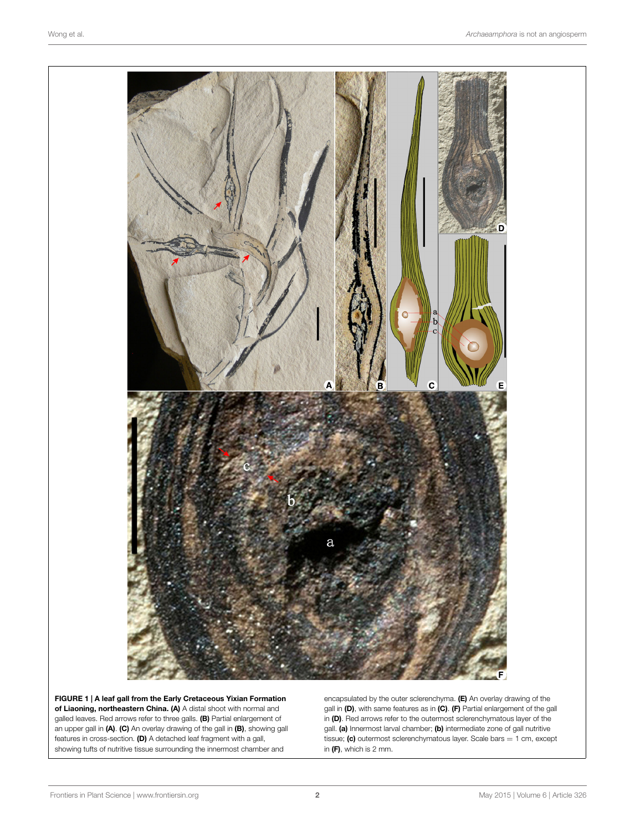

<span id="page-1-0"></span>**FIGURE 1 | A leaf gall from the Early Cretaceous Yixian Formation of Liaoning, northeastern China. (A)** A distal shoot with normal and galled leaves. Red arrows refer to three galls. **(B)** Partial enlargement of an upper gall in **(A)**. **(C)** An overlay drawing of the gall in **(B)**, showing gall features in cross-section. **(D)** A detached leaf fragment with a gall, showing tufts of nutritive tissue surrounding the innermost chamber and

encapsulated by the outer sclerenchyma. **(E)** An overlay drawing of the gall in **(D)**, with same features as in **(C)**. **(F)** Partial enlargement of the gall in **(D)**. Red arrows refer to the outermost sclerenchymatous layer of the gall. **(a)** Innermost larval chamber; **(b)** intermediate zone of gall nutritive tissue; **(c)** outermost sclerenchymatous layer. Scale bars = 1 cm, except in **(F)**, which is 2 mm.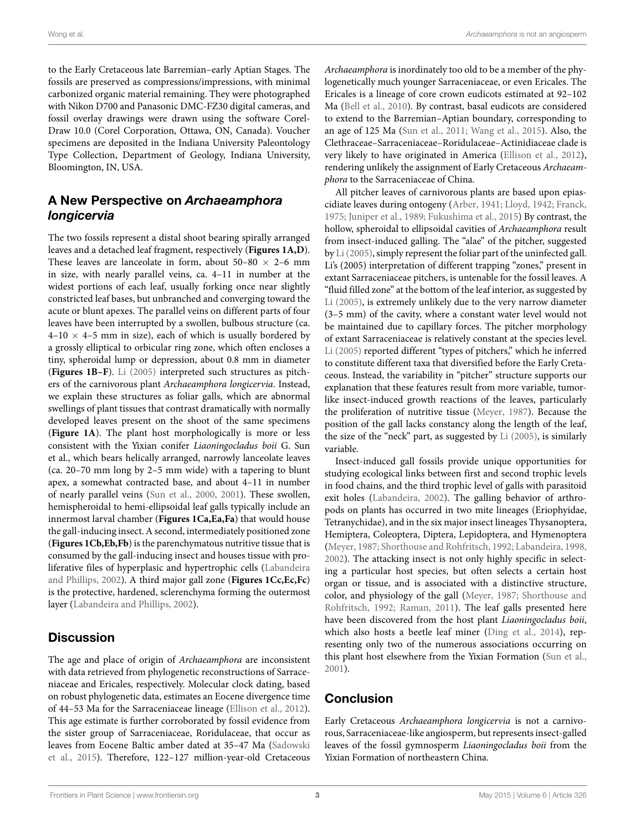to the Early Cretaceous late Barremian–early Aptian Stages. The fossils are preserved as compressions/impressions, with minimal carbonized organic material remaining. They were photographed with Nikon D700 and Panasonic DMC-FZ30 digital cameras, and fossil overlay drawings were drawn using the software Corel-Draw 10.0 (Corel Corporation, Ottawa, ON, Canada). Voucher specimens are deposited in the Indiana University Paleontology Type Collection, Department of Geology, Indiana University, Bloomington, IN, USA.

# **A New Perspective on** *Archaeamphora longicervia*

The two fossils represent a distal shoot bearing spirally arranged leaves and a detached leaf fragment, respectively (**[Figures 1A,D](#page-1-0)**). These leaves are lanceolate in form, about  $50-80 \times 2-6$  mm in size, with nearly parallel veins, ca. 4–11 in number at the widest portions of each leaf, usually forking once near slightly constricted leaf bases, but unbranched and converging toward the acute or blunt apexes. The parallel veins on different parts of four leaves have been interrupted by a swollen, bulbous structure (ca.  $4-10 \times 4-5$  mm in size), each of which is usually bordered by a grossly elliptical to orbicular ring zone, which often encloses a tiny, spheroidal lump or depression, about 0.8 mm in diameter (**[Figures 1B–F](#page-1-0)**). [Li](#page-3-0) ([2005](#page-3-0)) interpreted such structures as pitchers of the carnivorous plant *Archaeamphora longicervia*. Instead, we explain these structures as foliar galls, which are abnormal swellings of plant tissues that contrast dramatically with normally developed leaves present on the shoot of the same specimens (**[Figure 1A](#page-1-0)**). The plant host morphologically is more or less consistent with the Yixian conifer *Liaoningocladus boii* G. Sun et al., which bears helically arranged, narrowly lanceolate leaves (ca. 20–70 mm long by 2–5 mm wide) with a tapering to blunt apex, a somewhat contracted base, and about 4–11 in number of nearly parallel veins([Sun et al.,](#page-3-16) [2000](#page-3-16), [2001](#page-3-10)). These swollen, hemispheroidal to hemi-ellipsoidal leaf galls typically include an innermost larval chamber (**[Figures 1Ca,Ea,Fa](#page-1-0)**) that would house the gall-inducing insect. A second, intermediately positioned zone (**[Figures 1Cb,Eb,Fb](#page-1-0)**) is the parenchymatous nutritive tissue that is consumed by the gall-inducing insect and houses tissue with proliferative files of hyperplasic and hypertrophic cells [\(Labandeira](#page-3-17) [and Phillips,](#page-3-17) [2002](#page-3-17)). A third major gall zone (**[Figures 1Cc,Ec,Fc](#page-1-0)**) is the protective, hardened, sclerenchyma forming the outermost layer([Labandeira and Phillips](#page-3-17), [2002\)](#page-3-17).

# **Discussion**

The age and place of origin of *Archaeamphora* are inconsistent with data retrieved from phylogenetic reconstructions of Sarraceniaceae and Ericales, respectively. Molecular clock dating, based on robust phylogenetic data, estimates an Eocene divergence time of 44–53 Ma for the Sarraceniaceae lineage [\(Ellison et al.](#page-3-5), [2012](#page-3-5)). This age estimate is further corroborated by fossil evidence from the sister group of Sarraceniaceae, Roridulaceae, that occur as leaves from Eocene Baltic amber dated at 35–47 Ma [\(Sadowski](#page-3-8) [et al.](#page-3-8), [2015\)](#page-3-8). Therefore, 122–127 million-year-old Cretaceous *Archaeamphora* is inordinately too old to be a member of the phylogenetically much younger Sarraceniaceae, or even Ericales. The Ericales is a lineage of core crown eudicots estimated at 92–102 Ma([Bell et al.,](#page-3-18) [2010\)](#page-3-18). By contrast, basal eudicots are considered to extend to the Barremian–Aptian boundary, corresponding to an age of 125 Ma [\(Sun et al.](#page-3-11), [2011](#page-3-11); [Wang et al.,](#page-3-19) [2015\)](#page-3-19). Also, the Clethraceae–Sarraceniaceae–Roridulaceae–Actinidiaceae clade is very likely to have originated in America [\(Ellison et al.,](#page-3-5) [2012\)](#page-3-5), rendering unlikely the assignment of Early Cretaceous *Archaeamphora* to the Sarraceniaceae of China.

All pitcher leaves of carnivorous plants are based upon epiascidiate leaves during ontogeny [\(Arber,](#page-3-20) [1941](#page-3-20); [Lloyd,](#page-3-1) [1942](#page-3-1); [Franck](#page-3-21), [1975;](#page-3-21) [Juniper et al.,](#page-3-2) [1989](#page-3-2); [Fukushima et al.,](#page-3-22) [2015](#page-3-22)) By contrast, the hollow, spheroidal to ellipsoidal cavities of *Archaeamphora* result from insect-induced galling. The "alae" of the pitcher, suggested by [Li](#page-3-0) ([2005\)](#page-3-0), simply represent the foliar part of the uninfected gall. Li's (2005) interpretation of different trapping "zones," present in extant Sarraceniaceae pitchers, is untenable for the fossil leaves. A "fluid filled zone" at the bottom of the leaf interior, as suggested by [Li](#page-3-0) [\(2005](#page-3-0)), is extremely unlikely due to the very narrow diameter (3–5 mm) of the cavity, where a constant water level would not be maintained due to capillary forces. The pitcher morphology of extant Sarraceniaceae is relatively constant at the species level. [Li](#page-3-0) ([2005\)](#page-3-0) reported different "types of pitchers," which he inferred to constitute different taxa that diversified before the Early Cretaceous. Instead, the variability in "pitcher" structure supports our explanation that these features result from more variable, tumorlike insect-induced growth reactions of the leaves, particularly the proliferation of nutritive tissue([Meyer](#page-3-23), [1987](#page-3-23)). Because the position of the gall lacks constancy along the length of the leaf, the size of the "neck" part, as suggested by [Li](#page-3-0) [\(2005\)](#page-3-0), is similarly variable.

Insect-induced gall fossils provide unique opportunities for studying ecological links between first and second trophic levels in food chains, and the third trophic level of galls with parasitoid exit holes [\(Labandeira,](#page-3-24) [2002](#page-3-24)). The galling behavior of arthropods on plants has occurred in two mite lineages (Eriophyidae, Tetranychidae), and in the six major insect lineages Thysanoptera, Hemiptera, Coleoptera, Diptera, Lepidoptera, and Hymenoptera ([Meyer,](#page-3-23) [1987;](#page-3-23) [Shorthouse and Rohfritsch,](#page-3-25) [1992;](#page-3-25) [Labandeira](#page-3-26), [1998](#page-3-26), [2002\)](#page-3-24). The attacking insect is not only highly specific in selecting a particular host species, but often selects a certain host organ or tissue, and is associated with a distinctive structure, color, and physiology of the gall([Meyer,](#page-3-23) [1987](#page-3-23); [Shorthouse and](#page-3-25) [Rohfritsch,](#page-3-25) [1992;](#page-3-25) [Raman](#page-3-27), [2011](#page-3-27)). The leaf galls presented here have been discovered from the host plant *Liaoningocladus boii*, which also hosts a beetle leaf miner [\(Ding et al.](#page-3-28), [2014\)](#page-3-28), representing only two of the numerous associations occurring on this plant host elsewhere from the Yixian Formation [\(Sun et al.](#page-3-10), [2001\)](#page-3-10).

# **Conclusion**

Early Cretaceous *Archaeamphora longicervia* is not a carnivorous, Sarraceniaceae-like angiosperm, but represents insect-galled leaves of the fossil gymnosperm *Liaoningocladus boii* from the Yixian Formation of northeastern China.